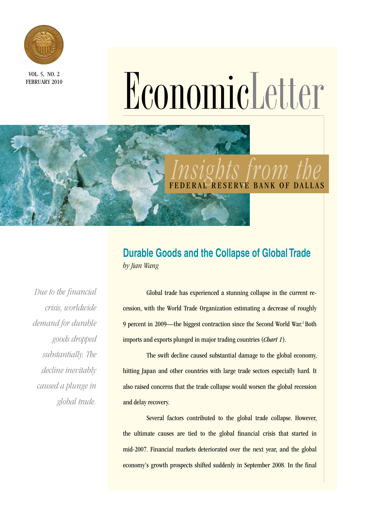

FEBRUARY 2010

# VOL. 5, NO. 2<br>
EBRUARY 2010<br> **EGRUARY 2010**<br> **EGRUARY 2010**

# *Insights from the*  BANK OF DALLAS

# **Durable Goods and the Collapse of Global Trade** *by Jian Wang*

*Due to the financial crisis, worldwide demand for durable goods dropped substantially. The decline inevitably caused a plunge in global trade.*

Global trade has experienced a stunning collapse in the current recession, with the World Trade Organization estimating a decrease of roughly 9 percent in 2009—the biggest contraction since the Second World War.<sup>1</sup> Both imports and exports plunged in major trading countries (*Chart 1*).

The swift decline caused substantial damage to the global economy, hitting Japan and other countries with large trade sectors especially hard. It also raised concerns that the trade collapse would worsen the global recession and delay recovery.

Several factors contributed to the global trade collapse. However, the ultimate causes are tied to the global financial crisis that started in mid-2007. Financial markets deteriorated over the next year, and the global economy's growth prospects shifted suddenly in September 2008. In the final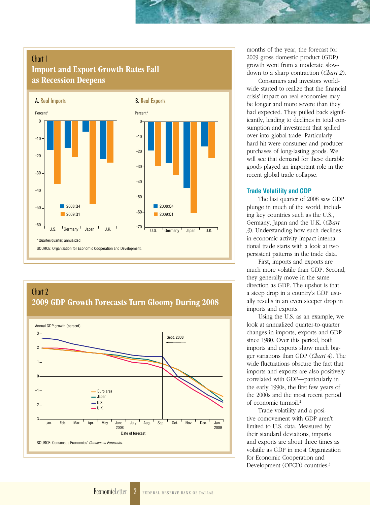## Chart 1 Import and Export Growth Rates Fall as Recession Deepens





months of the year, the forecast for 2009 gross domestic product (GDP) growth went from a moderate slowdown to a sharp contraction (*Chart 2*).

Consumers and investors worldwide started to realize that the financial crisis' impact on real economies may be longer and more severe than they had expected. They pulled back significantly, leading to declines in total consumption and investment that spilled over into global trade. Particularly hard hit were consumer and producer purchases of long-lasting goods. We will see that demand for these durable goods played an important role in the recent global trade collapse.

#### **Trade Volatility and GDP**

The last quarter of 2008 saw GDP plunge in much of the world, including key countries such as the U.S., Germany, Japan and the U.K. (*Chart 3*). Understanding how such declines in economic activity impact international trade starts with a look at two persistent patterns in the trade data.

First, imports and exports are much more volatile than GDP. Second, they generally move in the same direction as GDP. The upshot is that a steep drop in a country's GDP usually results in an even steeper drop in imports and exports.

Using the U.S. as an example, we look at annualized quarter-to-quarter changes in imports, exports and GDP since 1980. Over this period, both imports and exports show much bigger variations than GDP (*Chart 4*). The wide fluctuations obscure the fact that imports and exports are also positively correlated with GDP—particularly in the early 1990s, the first few years of the 2000s and the most recent period of economic turmoil.2

Trade volatility and a positive comovement with GDP aren't limited to U.S. data. Measured by their standard deviations, imports and exports are about three times as volatile as GDP in most Organization for Economic Cooperation and Development (OECD) countries.<sup>3</sup>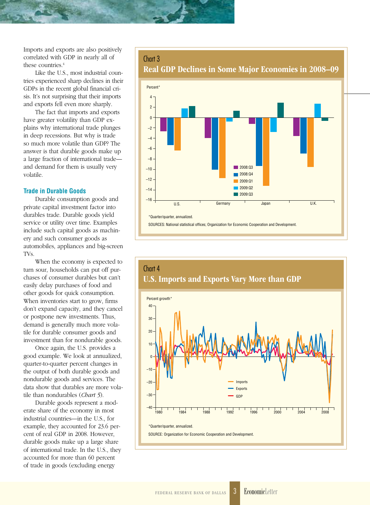Imports and exports are also positively correlated with GDP in nearly all of these countries.<sup>4</sup>

Like the U.S., most industrial countries experienced sharp declines in their GDPs in the recent global financial crisis. It's not surprising that their imports and exports fell even more sharply.

The fact that imports and exports have greater volatility than GDP explains why international trade plunges in deep recessions. But why is trade so much more volatile than GDP? The answer is that durable goods make up a large fraction of international trade and demand for them is usually very volatile.

#### **Trade in Durable Goods**

Durable consumption goods and private capital investment factor into durables trade. Durable goods yield service or utility over time. Examples include such capital goods as machinery and such consumer goods as automobiles, appliances and big-screen TVs.

When the economy is expected to turn sour, households can put off purchases of consumer durables but can't easily delay purchases of food and other goods for quick consumption. When inventories start to grow, firms don't expand capacity, and they cancel or postpone new investments. Thus, demand is generally much more volatile for durable consumer goods and investment than for nondurable goods.

Once again, the U.S. provides a good example. We look at annualized, quarter-to-quarter percent changes in the output of both durable goods and nondurable goods and services. The data show that durables are more volatile than nondurables (*Chart 5*).

Durable goods represent a moderate share of the economy in most industrial countries—in the U.S., for example, they accounted for 23.6 percent of real GDP in 2008. However, durable goods make up a large share of international trade. In the U.S., they accounted for more than 60 percent of trade in goods (excluding energy

#### Chart 3

Real GDP Declines in Some Major Economies in 2008–09



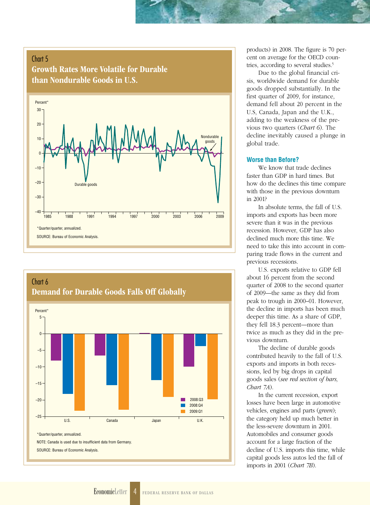#### Chart 5

Growth Rates More Volatile for Durable than Nondurable Goods in U.S.





products) in 2008. The figure is 70 percent on average for the OECD countries, according to several studies.<sup>5</sup>

Due to the global financial crisis, worldwide demand for durable goods dropped substantially. In the first quarter of 2009, for instance, demand fell about 20 percent in the U.S, Canada, Japan and the U.K., adding to the weakness of the previous two quarters (*Chart 6*). The decline inevitably caused a plunge in global trade.

#### **Worse than Before?**

We know that trade declines faster than GDP in hard times. But how do the declines this time compare with those in the previous downturn in 2001?

In absolute terms, the fall of U.S. imports and exports has been more severe than it was in the previous recession. However, GDP has also declined much more this time. We need to take this into account in comparing trade flows in the current and previous recessions.

U.S. exports relative to GDP fell about 16 percent from the second quarter of 2008 to the second quarter of 2009—the same as they did from peak to trough in 2000–01. However, the decline in imports has been much deeper this time. As a share of GDP, they fell 18.3 percent—more than twice as much as they did in the previous downturn.

The decline of durable goods contributed heavily to the fall of U.S. exports and imports in both recessions, led by big drops in capital goods sales (*see red section of bars, Chart 7A*).

In the current recession, export losses have been large in automotive vehicles, engines and parts (*green*); the category held up much better in the less-severe downturn in 2001. Automobiles and consumer goods account for a large fraction of the decline of U.S. imports this time, while capital goods less autos led the fall of imports in 2001 (*Chart 7B*).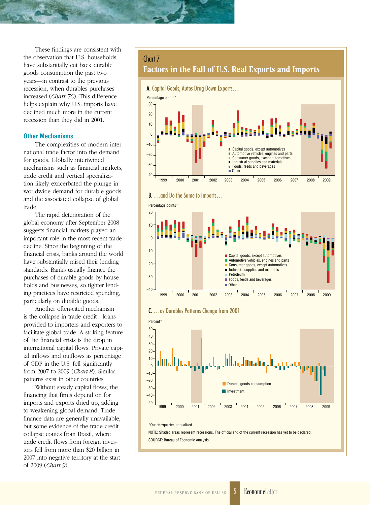These findings are consistent with the observation that U.S. households have substantially cut back durable goods consumption the past two years—in contrast to the previous recession, when durables purchases increased (*Chart 7C*). This difference helps explain why U.S. imports have declined much more in the current recession than they did in 2001.

#### **Other Mechanisms**

The complexities of modern international trade factor into the demand for goods. Globally intertwined mechanisms such as financial markets, trade credit and vertical specialization likely exacerbated the plunge in worldwide demand for durable goods and the associated collapse of global trade.

The rapid deterioration of the global economy after September 2008 suggests financial markets played an important role in the most recent trade decline. Since the beginning of the financial crisis, banks around the world have substantially raised their lending standards. Banks usually finance the purchases of durable goods by households and businesses, so tighter lending practices have restricted spending, particularly on durable goods.

Another often-cited mechanism is the collapse in trade credit—loans provided to importers and exporters to facilitate global trade. A striking feature of the financial crisis is the drop in international capital flows. Private capital inflows and outflows as percentage of GDP in the U.S. fell significantly from 2007 to 2009 (*Chart 8*). Similar patterns exist in other countries.

Without steady capital flows, the financing that firms depend on for imports and exports dried up, adding to weakening global demand. Trade finance data are generally unavailable, but some evidence of the trade credit collapse comes from Brazil, where trade credit flows from foreign investors fell from more than \$20 billion in 2007 into negative territory at the start of 2009 (*Chart 9*).

#### Chart 7

Factors in the Fall of U.S. Real Exports and Imports











NOTE: Shaded areas represent recessions. The official end of the current recession has yet to be declared. SOURCE: Bureau of Economic Analysis.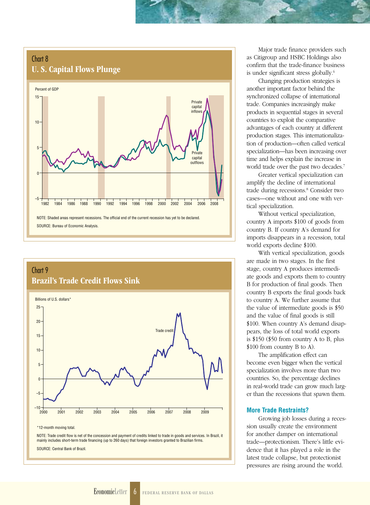## Chart 8 U. S. Capital Flows Plunge





SOURCE: Central Bank of Brazil.

Major trade finance providers such as Citigroup and HSBC Holdings also confirm that the trade-finance business is under significant stress globally.6

Changing production strategies is another important factor behind the synchronized collapse of international trade. Companies increasingly make products in sequential stages in several countries to exploit the comparative advantages of each country at different production stages. This internationalization of production—often called vertical specialization—has been increasing over time and helps explain the increase in world trade over the past two decades.<sup>7</sup>

Greater vertical specialization can amplify the decline of international trade during recessions.<sup>8</sup> Consider two cases—one without and one with vertical specialization.

Without vertical specialization, country A imports \$100 of goods from country B. If country A's demand for imports disappears in a recession, total world exports decline \$100.

With vertical specialization, goods are made in two stages. In the first stage, country A produces intermediate goods and exports them to country B for production of final goods. Then country B exports the final goods back to country A. We further assume that the value of intermediate goods is \$50 and the value of final goods is still \$100. When country A's demand disappears, the loss of total world exports is \$150 (\$50 from country A to B, plus \$100 from country B to A).

The amplification effect can become even bigger when the vertical specialization involves more than two countries. So, the percentage declines in real-world trade can grow much larger than the recessions that spawn them.

#### **More Trade Restraints?**

Growing job losses during a recession usually create the environment for another damper on international trade—protectionism. There's little evidence that it has played a role in the latest trade collapse, but protectionist pressures are rising around the world.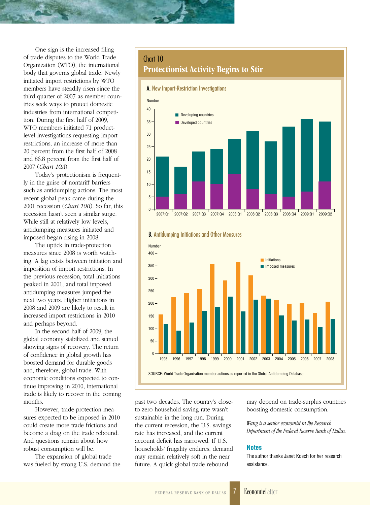One sign is the increased filing of trade disputes to the World Trade Organization (WTO), the international body that governs global trade. Newly initiated import restrictions by WTO members have steadily risen since the third quarter of 2007 as member countries seek ways to protect domestic industries from international competition. During the first half of 2009, WTO members initiated 71 productlevel investigations requesting import restrictions, an increase of more than 20 percent from the first half of 2008 and 86.8 percent from the first half of 2007 (*Chart 10A*).

Today's protectionism is frequently in the guise of nontariff barriers such as antidumping actions. The most recent global peak came during the 2001 recession (*Chart 10B*). So far, this recession hasn't seen a similar surge. While still at relatively low levels, antidumping measures initiated and imposed began rising in 2008.

The uptick in trade-protection measures since 2008 is worth watching. A lag exists between initiation and imposition of import restrictions. In the previous recession, total initiations peaked in 2001, and total imposed antidumping measures jumped the next two years. Higher initiations in 2008 and 2009 are likely to result in increased import restrictions in 2010 and perhaps beyond.

In the second half of 2009, the global economy stabilized and started showing signs of recovery. The return of confidence in global growth has boosted demand for durable goods and, therefore, global trade. With economic conditions expected to continue improving in 2010, international trade is likely to recover in the coming months.

However, trade-protection measures expected to be imposed in 2010 could create more trade frictions and become a drag on the trade rebound. And questions remain about how robust consumption will be.

The expansion of global trade was fueled by strong U.S. demand the

## Chart 10 Protectionist Activity Begins to Stir





past two decades. The country's closeto-zero household saving rate wasn't sustainable in the long run. During the current recession, the U.S. savings rate has increased, and the current account deficit has narrowed. If U.S. households' frugality endures, demand may remain relatively soft in the near future. A quick global trade rebound

may depend on trade-surplus countries boosting domestic consumption.

*Wang is a senior economist in the Research Department of the Federal Reserve Bank of Dallas.*

#### **Notes**

The author thanks Janet Koech for her research assistance.